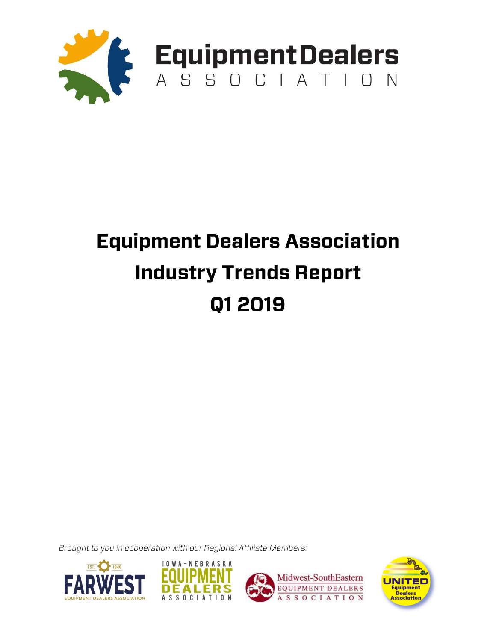

## **Equipment Dealers Association Industry Trends Report** Q1 2019

Brought to you in cooperation with our Regional Affiliate Members:







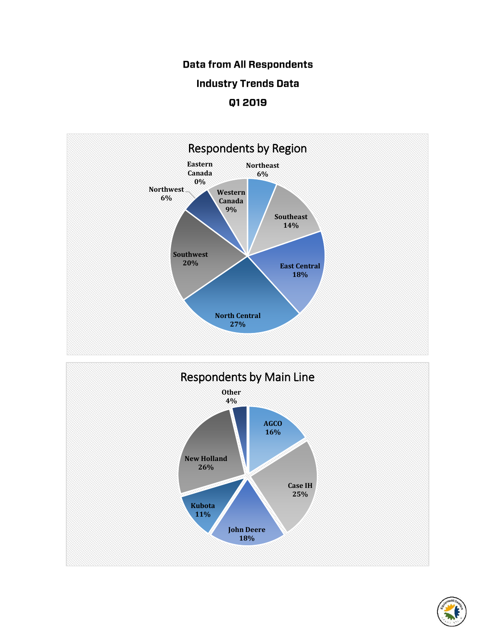## **Data from All Respondents Industry Trends Data** Q1 2019





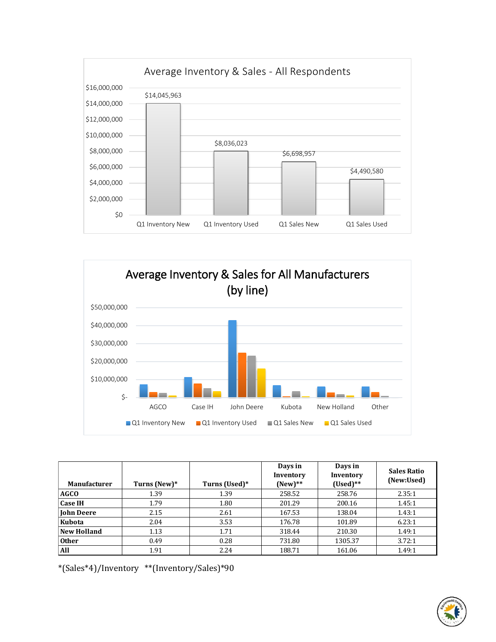



| <b>Manufacturer</b> | Turns (New)* | Turns (Used)* | Days in<br>Inventory<br>$(New)**$ | Days in<br>Inventory<br>$(Used)**$ | <b>Sales Ratio</b><br>(New:Used) |
|---------------------|--------------|---------------|-----------------------------------|------------------------------------|----------------------------------|
| <b>AGCO</b>         | 1.39         | 1.39          | 258.52                            | 258.76                             | 2.35:1                           |
| <b>Case IH</b>      | 1.79         | 1.80          | 201.29                            | 200.16                             | 1.45:1                           |
| <b>John Deere</b>   | 2.15         | 2.61          | 167.53                            | 138.04                             | 1.43:1                           |
| Kubota              | 2.04         | 3.53          | 176.78                            | 101.89                             | 6.23:1                           |
| <b>New Holland</b>  | 1.13         | 1.71          | 318.44                            | 210.30                             | 1.49:1                           |
| <b>Other</b>        | 0.49         | 0.28          | 731.80                            | 1305.37                            | 3.72:1                           |
| All                 | 1.91         | 2.24          | 188.71                            | 161.06                             | 1.49:1                           |

\*(Sales\*4)/Inventory \*\*(Inventory/Sales)\*90

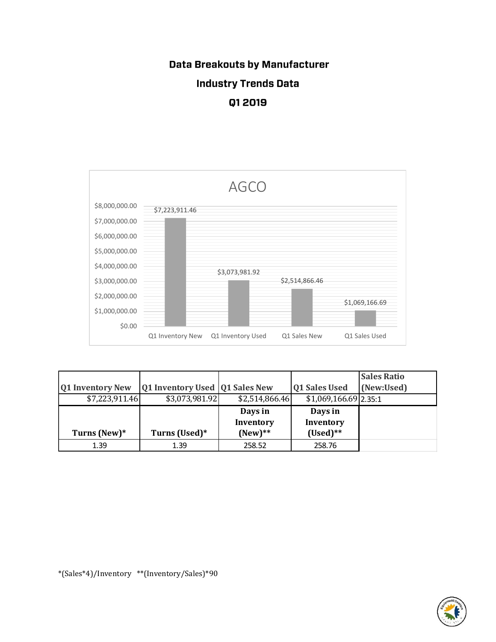## **Data Breakouts by Manufacturer Industry Trends Data** Q1 2019



|                         |                                  |                |                         | <b>Sales Ratio</b> |
|-------------------------|----------------------------------|----------------|-------------------------|--------------------|
| <b>Q1 Inventory New</b> | Q1 Inventory Used   Q1 Sales New |                | <b>Q1 Sales Used</b>    | (New:Used)         |
| \$7,223,911.46          | \$3,073,981.92                   | \$2,514,866.46 | $$1,069,166.69$  2.35:1 |                    |
|                         |                                  | Days in        | Days in                 |                    |
|                         |                                  | Inventory      | Inventory               |                    |
| Turns (New)*            | Turns (Used)*                    | $(New)**$      | $(Used)**$              |                    |
| 1.39                    | 1.39                             | 258.52         | 258.76                  |                    |

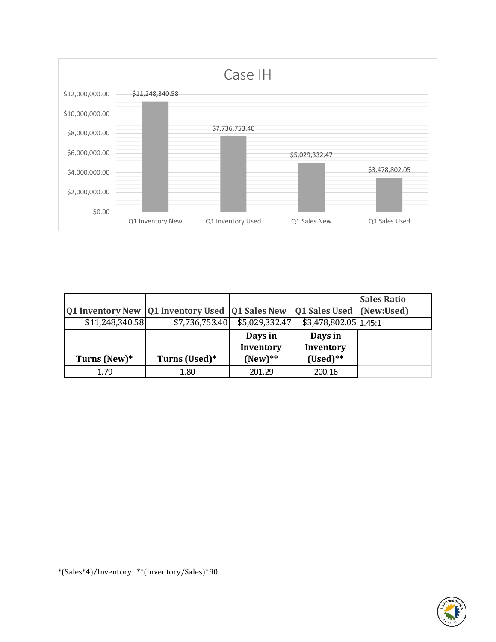

|                 |                                                            |                |                          | <b>Sales Ratio</b> |
|-----------------|------------------------------------------------------------|----------------|--------------------------|--------------------|
|                 | <b>Q1 Inventory New   Q1 Inventory Used   Q1 Sales New</b> |                | Q1 Sales Used (New:Used) |                    |
| \$11,248,340.58 | \$7,736,753.40                                             | \$5,029,332.47 | \$3,478,802.05 1.45:1    |                    |
|                 |                                                            | Days in        | Days in                  |                    |
|                 |                                                            | Inventory      | Inventory                |                    |
| Turns (New)*    | Turns (Used)*                                              | $(New)**$      | $(Used)**$               |                    |
| 1.79            | 1.80                                                       | 201.29         | 200.16                   |                    |

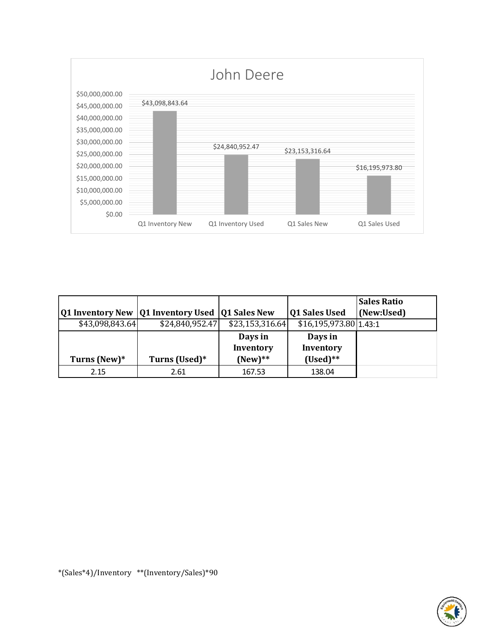

|                         |                                  |                 |                        | <b>Sales Ratio</b> |
|-------------------------|----------------------------------|-----------------|------------------------|--------------------|
| <b>Q1 Inventory New</b> | Q1 Inventory Used   Q1 Sales New |                 | <b>Q1 Sales Used</b>   | (New:Used)         |
| \$43,098,843.64         | \$24,840,952.47                  | \$23,153,316.64 | \$16,195,973.80 1.43:1 |                    |
|                         |                                  | Days in         | Days in                |                    |
|                         |                                  | Inventory       | Inventory              |                    |
| Turns (New)*            | Turns (Used)*                    | $(New)**$       | $(Used)**$             |                    |
| 2.15                    | 2.61                             | 167.53          | 138.04                 |                    |

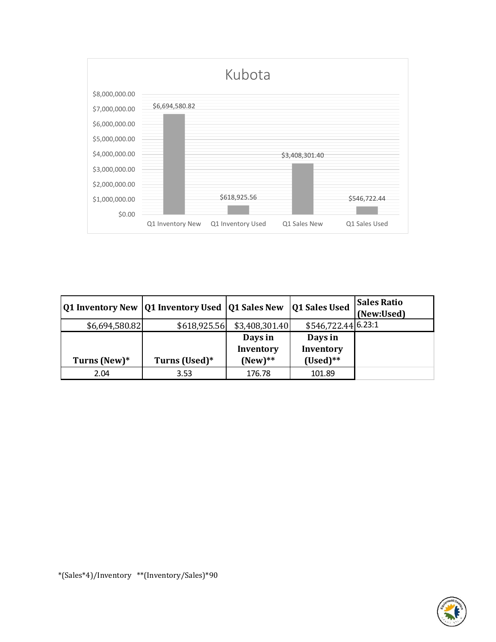

|                | Q1 Inventory New  Q1 Inventory Used  Q1 Sales New |                      | Q1 Sales Used        | <b>Sales Ratio</b><br>(New:Used) |
|----------------|---------------------------------------------------|----------------------|----------------------|----------------------------------|
| \$6,694,580.82 | \$618,925.56                                      | \$3,408,301.40       | \$546,722.44 6.23:1  |                                  |
|                |                                                   | Days in<br>Inventory | Days in<br>Inventory |                                  |
| Turns (New)*   | Turns (Used)*                                     | $(New)$ **           | $(Used)**$           |                                  |
| 2.04           | 3.53                                              | 176.78               | 101.89               |                                  |